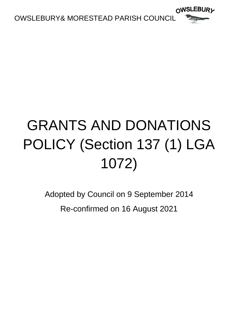

# GRANTS AND DONATIONS POLICY (Section 137 (1) LGA 1072)

Adopted by Council on 9 September 2014 Re-confirmed on 16 August 2021